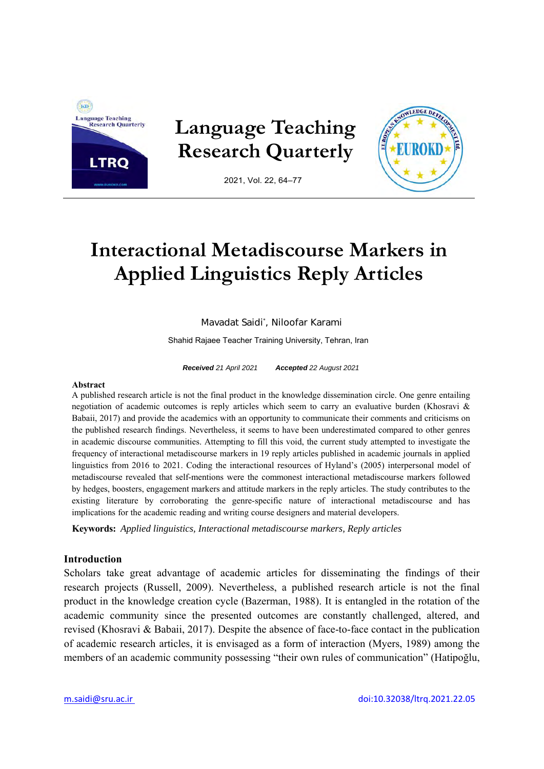

**Language Teaching Research Quarterly** 



2021, Vol. 22, 64–77

# **Interactional Metadiscourse Markers in Applied Linguistics Reply Articles**

Mavadat Saidi\* , Niloofar Karami

Shahid Rajaee Teacher Training University, Tehran, Iran

*Received 21 April 2021 Accepted 22 August 2021* 

#### **Abstract**

A published research article is not the final product in the knowledge dissemination circle. One genre entailing negotiation of academic outcomes is reply articles which seem to carry an evaluative burden (Khosravi & Babaii, 2017) and provide the academics with an opportunity to communicate their comments and criticisms on the published research findings. Nevertheless, it seems to have been underestimated compared to other genres in academic discourse communities. Attempting to fill this void, the current study attempted to investigate the frequency of interactional metadiscourse markers in 19 reply articles published in academic journals in applied linguistics from 2016 to 2021. Coding the interactional resources of Hyland's (2005) interpersonal model of metadiscourse revealed that self-mentions were the commonest interactional metadiscourse markers followed by hedges, boosters, engagement markers and attitude markers in the reply articles. The study contributes to the existing literature by corroborating the genre-specific nature of interactional metadiscourse and has implications for the academic reading and writing course designers and material developers.

**Keywords:** *Applied linguistics, Interactional metadiscourse markers, Reply articles*

#### **Introduction**

Scholars take great advantage of academic articles for disseminating the findings of their research projects (Russell, 2009). Nevertheless, a published research article is not the final product in the knowledge creation cycle (Bazerman, 1988). It is entangled in the rotation of the academic community since the presented outcomes are constantly challenged, altered, and revised (Khosravi & Babaii, 2017). Despite the absence of face-to-face contact in the publication of academic research articles, it is envisaged as a form of interaction (Myers, 1989) among the members of an academic community possessing "their own rules of communication" (Hatipoğlu,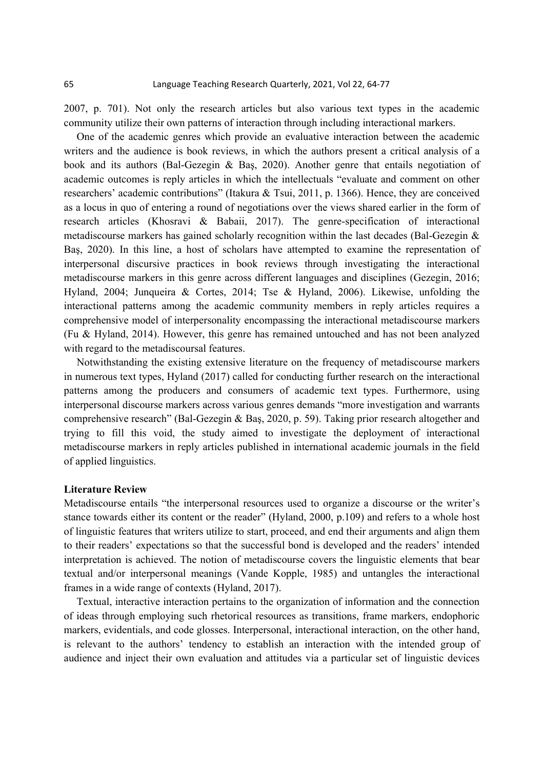2007, p. 701). Not only the research articles but also various text types in the academic community utilize their own patterns of interaction through including interactional markers.

One of the academic genres which provide an evaluative interaction between the academic writers and the audience is book reviews, in which the authors present a critical analysis of a book and its authors (Bal-Gezegin & Baş, 2020). Another genre that entails negotiation of academic outcomes is reply articles in which the intellectuals "evaluate and comment on other researchers' academic contributions" (Itakura & Tsui, 2011, p. 1366). Hence, they are conceived as a locus in quo of entering a round of negotiations over the views shared earlier in the form of research articles (Khosravi & Babaii, 2017). The genre-specification of interactional metadiscourse markers has gained scholarly recognition within the last decades (Bal-Gezegin & Baş, 2020). In this line, a host of scholars have attempted to examine the representation of interpersonal discursive practices in book reviews through investigating the interactional metadiscourse markers in this genre across different languages and disciplines (Gezegin, 2016; Hyland, 2004; Junqueira & Cortes, 2014; Tse & Hyland, 2006). Likewise, unfolding the interactional patterns among the academic community members in reply articles requires a comprehensive model of interpersonality encompassing the interactional metadiscourse markers (Fu & Hyland, 2014). However, this genre has remained untouched and has not been analyzed with regard to the metadiscoursal features.

Notwithstanding the existing extensive literature on the frequency of metadiscourse markers in numerous text types, Hyland (2017) called for conducting further research on the interactional patterns among the producers and consumers of academic text types. Furthermore, using interpersonal discourse markers across various genres demands "more investigation and warrants comprehensive research" (Bal-Gezegin & Baş, 2020, p. 59). Taking prior research altogether and trying to fill this void, the study aimed to investigate the deployment of interactional metadiscourse markers in reply articles published in international academic journals in the field of applied linguistics.

#### **Literature Review**

Metadiscourse entails "the interpersonal resources used to organize a discourse or the writer's stance towards either its content or the reader" (Hyland, 2000, p.109) and refers to a whole host of linguistic features that writers utilize to start, proceed, and end their arguments and align them to their readers' expectations so that the successful bond is developed and the readers' intended interpretation is achieved. The notion of metadiscourse covers the linguistic elements that bear textual and/or interpersonal meanings (Vande Kopple, 1985) and untangles the interactional frames in a wide range of contexts (Hyland, 2017).

Textual, interactive interaction pertains to the organization of information and the connection of ideas through employing such rhetorical resources as transitions, frame markers, endophoric markers, evidentials, and code glosses. Interpersonal, interactional interaction, on the other hand, is relevant to the authors' tendency to establish an interaction with the intended group of audience and inject their own evaluation and attitudes via a particular set of linguistic devices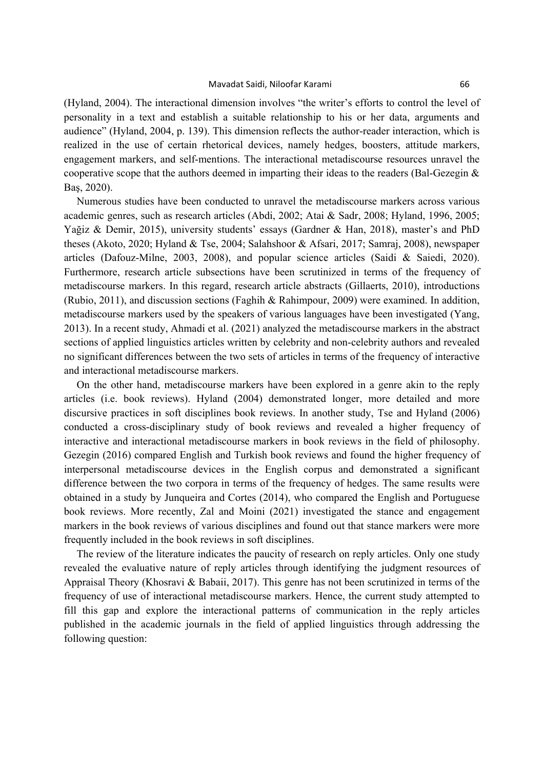#### Mavadat Saidi, Niloofar Karami 66

(Hyland, 2004). The interactional dimension involves "the writer's efforts to control the level of personality in a text and establish a suitable relationship to his or her data, arguments and audience" (Hyland, 2004, p. 139). This dimension reflects the author-reader interaction, which is realized in the use of certain rhetorical devices, namely hedges, boosters, attitude markers, engagement markers, and self-mentions. The interactional metadiscourse resources unravel the cooperative scope that the authors deemed in imparting their ideas to the readers (Bal-Gezegin & Baş, 2020).

Numerous studies have been conducted to unravel the metadiscourse markers across various academic genres, such as research articles (Abdi, 2002; Atai & Sadr, 2008; Hyland, 1996, 2005; Yağiz & Demir, 2015), university students' essays (Gardner & Han, 2018), master's and PhD theses (Akoto, 2020; Hyland & Tse, 2004; Salahshoor & Afsari, 2017; Samraj, 2008), newspaper articles (Dafouz-Milne, 2003, 2008), and popular science articles (Saidi & Saiedi, 2020). Furthermore, research article subsections have been scrutinized in terms of the frequency of metadiscourse markers. In this regard, research article abstracts (Gillaerts, 2010), introductions (Rubio, 2011), and discussion sections (Faghih & Rahimpour, 2009) were examined. In addition, metadiscourse markers used by the speakers of various languages have been investigated (Yang, 2013). In a recent study, Ahmadi et al. (2021) analyzed the metadiscourse markers in the abstract sections of applied linguistics articles written by celebrity and non-celebrity authors and revealed no significant differences between the two sets of articles in terms of the frequency of interactive and interactional metadiscourse markers.

On the other hand, metadiscourse markers have been explored in a genre akin to the reply articles (i.e. book reviews). Hyland (2004) demonstrated longer, more detailed and more discursive practices in soft disciplines book reviews. In another study, Tse and Hyland (2006) conducted a cross-disciplinary study of book reviews and revealed a higher frequency of interactive and interactional metadiscourse markers in book reviews in the field of philosophy. Gezegin (2016) compared English and Turkish book reviews and found the higher frequency of interpersonal metadiscourse devices in the English corpus and demonstrated a significant difference between the two corpora in terms of the frequency of hedges. The same results were obtained in a study by Junqueira and Cortes (2014), who compared the English and Portuguese book reviews. More recently, Zal and Moini (2021) investigated the stance and engagement markers in the book reviews of various disciplines and found out that stance markers were more frequently included in the book reviews in soft disciplines.

The review of the literature indicates the paucity of research on reply articles. Only one study revealed the evaluative nature of reply articles through identifying the judgment resources of Appraisal Theory (Khosravi & Babaii, 2017). This genre has not been scrutinized in terms of the frequency of use of interactional metadiscourse markers. Hence, the current study attempted to fill this gap and explore the interactional patterns of communication in the reply articles published in the academic journals in the field of applied linguistics through addressing the following question: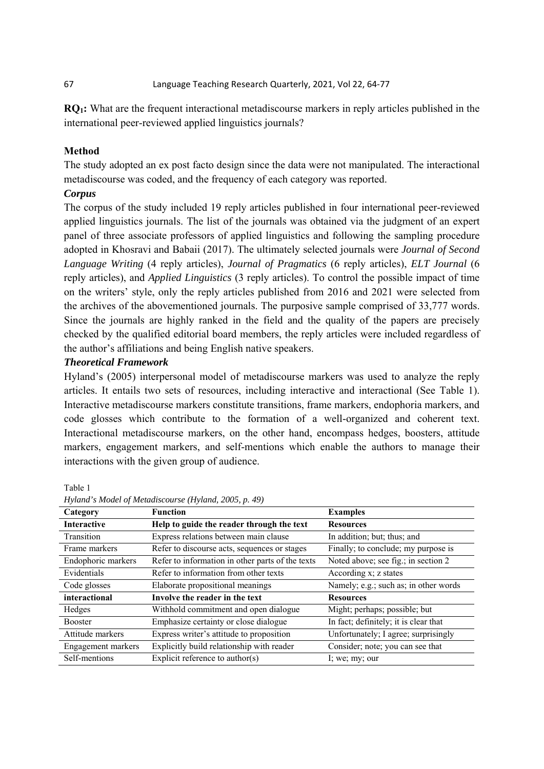**RQ1:** What are the frequent interactional metadiscourse markers in reply articles published in the international peer-reviewed applied linguistics journals?

### **Method**

The study adopted an ex post facto design since the data were not manipulated. The interactional metadiscourse was coded, and the frequency of each category was reported.

#### *Corpus*

The corpus of the study included 19 reply articles published in four international peer-reviewed applied linguistics journals. The list of the journals was obtained via the judgment of an expert panel of three associate professors of applied linguistics and following the sampling procedure adopted in Khosravi and Babaii (2017). The ultimately selected journals were *Journal of Second Language Writing* (4 reply articles), *Journal of Pragmatics* (6 reply articles), *ELT Journal* (6 reply articles), and *Applied Linguistics* (3 reply articles). To control the possible impact of time on the writers' style, only the reply articles published from 2016 and 2021 were selected from the archives of the abovementioned journals. The purposive sample comprised of 33,777 words. Since the journals are highly ranked in the field and the quality of the papers are precisely checked by the qualified editorial board members, the reply articles were included regardless of the author's affiliations and being English native speakers.

#### *Theoretical Framework*

Hyland's (2005) interpersonal model of metadiscourse markers was used to analyze the reply articles. It entails two sets of resources, including interactive and interactional (See Table 1). Interactive metadiscourse markers constitute transitions, frame markers, endophoria markers, and code glosses which contribute to the formation of a well-organized and coherent text. Interactional metadiscourse markers, on the other hand, encompass hedges, boosters, attitude markers, engagement markers, and self-mentions which enable the authors to manage their interactions with the given group of audience.

Table 1

| Category           | <b>Function</b>                                  | <b>Examples</b>                       |
|--------------------|--------------------------------------------------|---------------------------------------|
| <b>Interactive</b> | Help to guide the reader through the text        | <b>Resources</b>                      |
| Transition         | Express relations between main clause            | In addition; but; thus; and           |
| Frame markers      | Refer to discourse acts, sequences or stages     | Finally; to conclude; my purpose is   |
| Endophoric markers | Refer to information in other parts of the texts | Noted above; see fig.; in section 2   |
| Evidentials        | Refer to information from other texts            | According x; z states                 |
| Code glosses       | Elaborate propositional meanings                 | Namely; e.g.; such as; in other words |
| interactional      | Involve the reader in the text                   | <b>Resources</b>                      |
| Hedges             | Withhold commitment and open dialogue            | Might; perhaps; possible; but         |
| <b>Booster</b>     | Emphasize certainty or close dialogue            | In fact; definitely; it is clear that |
| Attitude markers   | Express writer's attitude to proposition         | Unfortunately; I agree; surprisingly  |
| Engagement markers | Explicitly build relationship with reader        | Consider; note; you can see that      |
| Self-mentions      | Explicit reference to author( $s$ )              | $\Gamma$ ; we; my; our                |

*Hyland's Model of Metadiscourse (Hyland, 2005, p. 49)*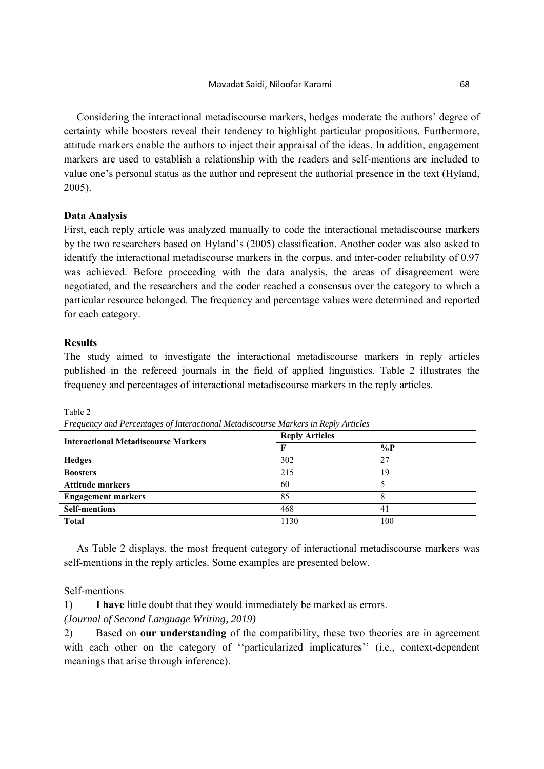Considering the interactional metadiscourse markers, hedges moderate the authors' degree of certainty while boosters reveal their tendency to highlight particular propositions. Furthermore, attitude markers enable the authors to inject their appraisal of the ideas. In addition, engagement markers are used to establish a relationship with the readers and self-mentions are included to value one's personal status as the author and represent the authorial presence in the text (Hyland, 2005).

## **Data Analysis**

First, each reply article was analyzed manually to code the interactional metadiscourse markers by the two researchers based on Hyland's (2005) classification. Another coder was also asked to identify the interactional metadiscourse markers in the corpus, and inter-coder reliability of 0.97 was achieved. Before proceeding with the data analysis, the areas of disagreement were negotiated, and the researchers and the coder reached a consensus over the category to which a particular resource belonged. The frequency and percentage values were determined and reported for each category.

## **Results**

The study aimed to investigate the interactional metadiscourse markers in reply articles published in the refereed journals in the field of applied linguistics. Table 2 illustrates the frequency and percentages of interactional metadiscourse markers in the reply articles.

**Interactional Metadiscourse Markers Reply Articles F %P Hedges** 302 27 **Boosters** 19 Attitude markers **60** 5 **Engagement markers** 85 8 **Self-mentions** 468 41 **Total** 1130 100

Table 2

*Frequency and Percentages of Interactional Metadiscourse Markers in Reply Articles* 

As Table 2 displays, the most frequent category of interactional metadiscourse markers was self-mentions in the reply articles. Some examples are presented below.

# Self-mentions

1) **I have** little doubt that they would immediately be marked as errors.

# *(Journal of Second Language Writing, 2019)*

2) Based on **our understanding** of the compatibility, these two theories are in agreement with each other on the category of "particularized implicatures" (i.e., context-dependent meanings that arise through inference).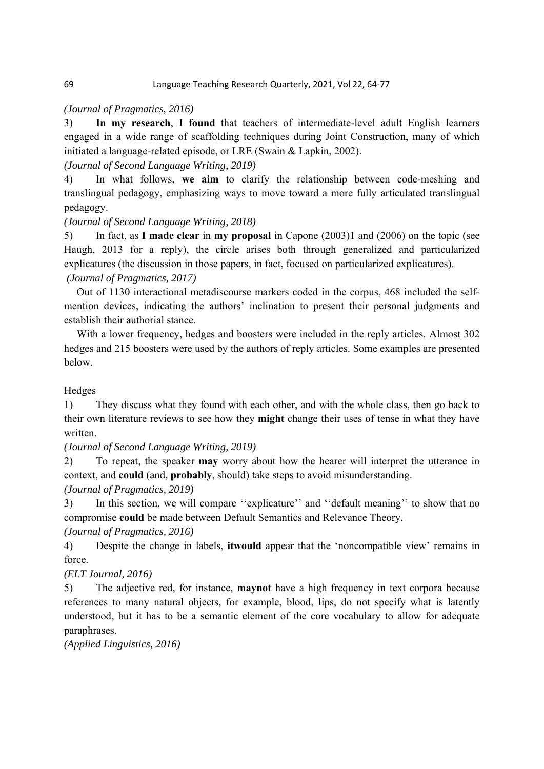#### 69 Language Teaching Research Quarterly, 2021, Vol 22, 64‐77

## *(Journal of Pragmatics, 2016)*

3) **In my research**, **I found** that teachers of intermediate-level adult English learners engaged in a wide range of scaffolding techniques during Joint Construction, many of which initiated a language-related episode, or LRE (Swain & Lapkin, 2002).

# *(Journal of Second Language Writing, 2019)*

4) In what follows, **we aim** to clarify the relationship between code-meshing and translingual pedagogy, emphasizing ways to move toward a more fully articulated translingual pedagogy.

# *(Journal of Second Language Writing, 2018)*

5) In fact, as **I made clear** in **my proposal** in Capone (2003)1 and (2006) on the topic (see Haugh, 2013 for a reply), the circle arises both through generalized and particularized explicatures (the discussion in those papers, in fact, focused on particularized explicatures).

## *(Journal of Pragmatics, 2017)*

Out of 1130 interactional metadiscourse markers coded in the corpus, 468 included the selfmention devices, indicating the authors' inclination to present their personal judgments and establish their authorial stance.

With a lower frequency, hedges and boosters were included in the reply articles. Almost 302 hedges and 215 boosters were used by the authors of reply articles. Some examples are presented below.

# Hedges

1) They discuss what they found with each other, and with the whole class, then go back to their own literature reviews to see how they **might** change their uses of tense in what they have written.

*(Journal of Second Language Writing, 2019)* 

2) To repeat, the speaker **may** worry about how the hearer will interpret the utterance in context, and **could** (and, **probably**, should) take steps to avoid misunderstanding.

# *(Journal of Pragmatics, 2019)*

3) In this section, we will compare ''explicature'' and ''default meaning'' to show that no compromise **could** be made between Default Semantics and Relevance Theory.

## *(Journal of Pragmatics, 2016)*

4) Despite the change in labels, **itwould** appear that the 'noncompatible view' remains in force.

# *(ELT Journal, 2016)*

5) The adjective red, for instance, **maynot** have a high frequency in text corpora because references to many natural objects, for example, blood, lips, do not specify what is latently understood, but it has to be a semantic element of the core vocabulary to allow for adequate paraphrases.

## *(Applied Linguistics, 2016)*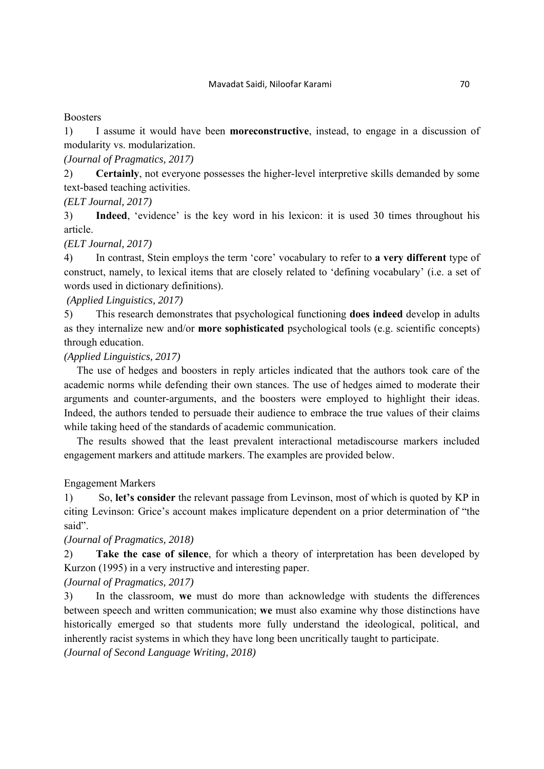### **Boosters**

1) I assume it would have been **moreconstructive**, instead, to engage in a discussion of modularity vs. modularization.

*(Journal of Pragmatics, 2017)* 

2) **Certainly**, not everyone possesses the higher-level interpretive skills demanded by some text-based teaching activities.

*(ELT Journal, 2017)* 

3) **Indeed**, 'evidence' is the key word in his lexicon: it is used 30 times throughout his article.

*(ELT Journal, 2017)* 

4) In contrast, Stein employs the term 'core' vocabulary to refer to **a very different** type of construct, namely, to lexical items that are closely related to 'defining vocabulary' (i.e. a set of words used in dictionary definitions).

 *(Applied Linguistics, 2017)* 

5) This research demonstrates that psychological functioning **does indeed** develop in adults as they internalize new and/or **more sophisticated** psychological tools (e.g. scientific concepts) through education.

*(Applied Linguistics, 2017)* 

The use of hedges and boosters in reply articles indicated that the authors took care of the academic norms while defending their own stances. The use of hedges aimed to moderate their arguments and counter-arguments, and the boosters were employed to highlight their ideas. Indeed, the authors tended to persuade their audience to embrace the true values of their claims while taking heed of the standards of academic communication.

The results showed that the least prevalent interactional metadiscourse markers included engagement markers and attitude markers. The examples are provided below.

Engagement Markers

1) So, **let's consider** the relevant passage from Levinson, most of which is quoted by KP in citing Levinson: Grice's account makes implicature dependent on a prior determination of "the said".

*(Journal of Pragmatics, 2018)* 

2) **Take the case of silence**, for which a theory of interpretation has been developed by Kurzon (1995) in a very instructive and interesting paper.

*(Journal of Pragmatics, 2017)* 

3) In the classroom, **we** must do more than acknowledge with students the differences between speech and written communication; **we** must also examine why those distinctions have historically emerged so that students more fully understand the ideological, political, and inherently racist systems in which they have long been uncritically taught to participate. *(Journal of Second Language Writing, 2018)*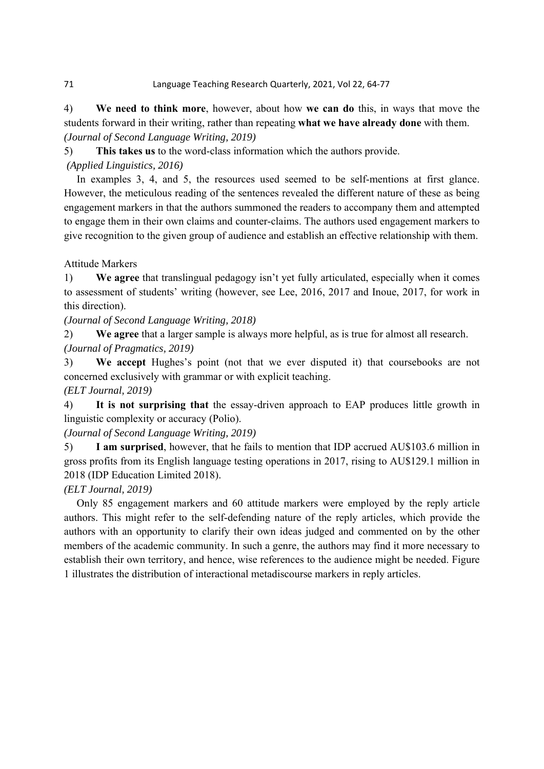#### 71 Language Teaching Research Quarterly, 2021, Vol 22, 64‐77

4) **We need to think more**, however, about how **we can do** this, in ways that move the students forward in their writing, rather than repeating **what we have already done** with them. *(Journal of Second Language Writing, 2019)* 

5) **This takes us** to the word-class information which the authors provide.

*(Applied Linguistics, 2016)* 

In examples 3, 4, and 5, the resources used seemed to be self-mentions at first glance. However, the meticulous reading of the sentences revealed the different nature of these as being engagement markers in that the authors summoned the readers to accompany them and attempted to engage them in their own claims and counter-claims. The authors used engagement markers to give recognition to the given group of audience and establish an effective relationship with them.

Attitude Markers

1) **We agree** that translingual pedagogy isn't yet fully articulated, especially when it comes to assessment of students' writing (however, see Lee, 2016, 2017 and Inoue, 2017, for work in this direction).

*(Journal of Second Language Writing, 2018)* 

2) **We agree** that a larger sample is always more helpful, as is true for almost all research.

*(Journal of Pragmatics, 2019)* 

3) **We accept** Hughes's point (not that we ever disputed it) that coursebooks are not concerned exclusively with grammar or with explicit teaching.

*(ELT Journal, 2019)* 

4) **It is not surprising that** the essay-driven approach to EAP produces little growth in linguistic complexity or accuracy (Polio).

*(Journal of Second Language Writing, 2019)* 

5) **I am surprised**, however, that he fails to mention that IDP accrued AU\$103.6 million in gross profits from its English language testing operations in 2017, rising to AU\$129.1 million in 2018 (IDP Education Limited 2018).

# *(ELT Journal, 2019)*

Only 85 engagement markers and 60 attitude markers were employed by the reply article authors. This might refer to the self-defending nature of the reply articles, which provide the authors with an opportunity to clarify their own ideas judged and commented on by the other members of the academic community. In such a genre, the authors may find it more necessary to establish their own territory, and hence, wise references to the audience might be needed. Figure 1 illustrates the distribution of interactional metadiscourse markers in reply articles.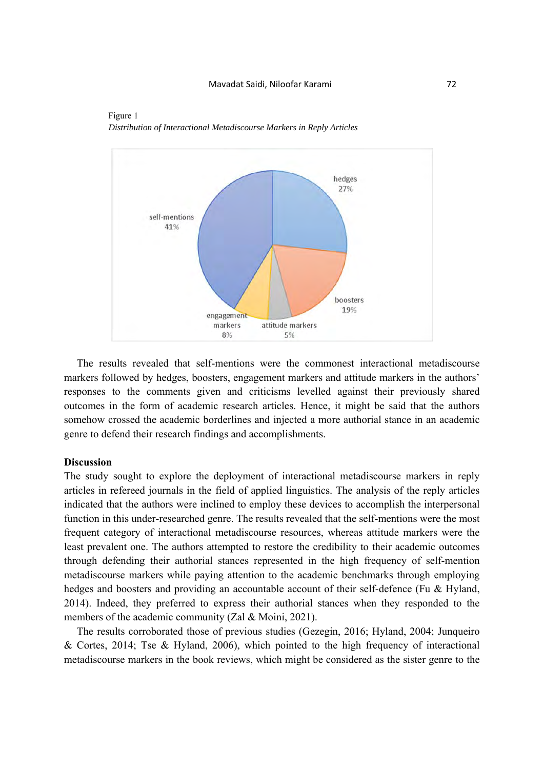



The results revealed that self-mentions were the commonest interactional metadiscourse markers followed by hedges, boosters, engagement markers and attitude markers in the authors' responses to the comments given and criticisms levelled against their previously shared outcomes in the form of academic research articles. Hence, it might be said that the authors somehow crossed the academic borderlines and injected a more authorial stance in an academic genre to defend their research findings and accomplishments.

#### **Discussion**

The study sought to explore the deployment of interactional metadiscourse markers in reply articles in refereed journals in the field of applied linguistics. The analysis of the reply articles indicated that the authors were inclined to employ these devices to accomplish the interpersonal function in this under-researched genre. The results revealed that the self-mentions were the most frequent category of interactional metadiscourse resources, whereas attitude markers were the least prevalent one. The authors attempted to restore the credibility to their academic outcomes through defending their authorial stances represented in the high frequency of self-mention metadiscourse markers while paying attention to the academic benchmarks through employing hedges and boosters and providing an accountable account of their self-defence (Fu & Hyland, 2014). Indeed, they preferred to express their authorial stances when they responded to the members of the academic community (Zal & Moini, 2021).

The results corroborated those of previous studies (Gezegin, 2016; Hyland, 2004; Junqueiro & Cortes, 2014; Tse & Hyland, 2006), which pointed to the high frequency of interactional metadiscourse markers in the book reviews, which might be considered as the sister genre to the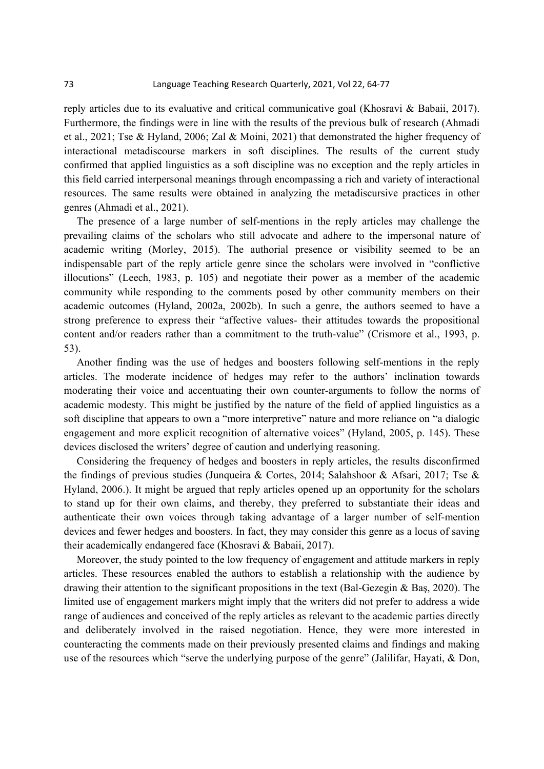reply articles due to its evaluative and critical communicative goal (Khosravi & Babaii, 2017). Furthermore, the findings were in line with the results of the previous bulk of research (Ahmadi et al., 2021; Tse & Hyland, 2006; Zal & Moini, 2021) that demonstrated the higher frequency of interactional metadiscourse markers in soft disciplines. The results of the current study confirmed that applied linguistics as a soft discipline was no exception and the reply articles in this field carried interpersonal meanings through encompassing a rich and variety of interactional resources. The same results were obtained in analyzing the metadiscursive practices in other genres (Ahmadi et al., 2021).

The presence of a large number of self-mentions in the reply articles may challenge the prevailing claims of the scholars who still advocate and adhere to the impersonal nature of academic writing (Morley, 2015). The authorial presence or visibility seemed to be an indispensable part of the reply article genre since the scholars were involved in "conflictive illocutions" (Leech, 1983, p. 105) and negotiate their power as a member of the academic community while responding to the comments posed by other community members on their academic outcomes (Hyland, 2002a, 2002b). In such a genre, the authors seemed to have a strong preference to express their "affective values- their attitudes towards the propositional content and/or readers rather than a commitment to the truth-value" (Crismore et al., 1993, p. 53).

Another finding was the use of hedges and boosters following self-mentions in the reply articles. The moderate incidence of hedges may refer to the authors' inclination towards moderating their voice and accentuating their own counter-arguments to follow the norms of academic modesty. This might be justified by the nature of the field of applied linguistics as a soft discipline that appears to own a "more interpretive" nature and more reliance on "a dialogic engagement and more explicit recognition of alternative voices" (Hyland, 2005, p. 145). These devices disclosed the writers' degree of caution and underlying reasoning.

Considering the frequency of hedges and boosters in reply articles, the results disconfirmed the findings of previous studies (Junqueira & Cortes, 2014; Salahshoor & Afsari, 2017; Tse & Hyland, 2006.). It might be argued that reply articles opened up an opportunity for the scholars to stand up for their own claims, and thereby, they preferred to substantiate their ideas and authenticate their own voices through taking advantage of a larger number of self-mention devices and fewer hedges and boosters. In fact, they may consider this genre as a locus of saving their academically endangered face (Khosravi & Babaii, 2017).

Moreover, the study pointed to the low frequency of engagement and attitude markers in reply articles. These resources enabled the authors to establish a relationship with the audience by drawing their attention to the significant propositions in the text (Bal-Gezegin & Baş, 2020). The limited use of engagement markers might imply that the writers did not prefer to address a wide range of audiences and conceived of the reply articles as relevant to the academic parties directly and deliberately involved in the raised negotiation. Hence, they were more interested in counteracting the comments made on their previously presented claims and findings and making use of the resources which "serve the underlying purpose of the genre" (Jalilifar, Hayati, & Don,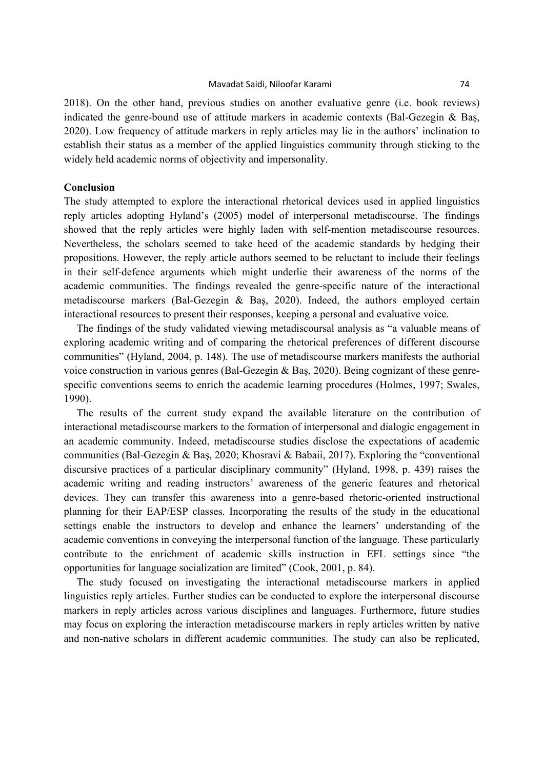2018). On the other hand, previous studies on another evaluative genre (i.e. book reviews) indicated the genre-bound use of attitude markers in academic contexts (Bal-Gezegin & Baş, 2020). Low frequency of attitude markers in reply articles may lie in the authors' inclination to establish their status as a member of the applied linguistics community through sticking to the widely held academic norms of objectivity and impersonality.

#### **Conclusion**

The study attempted to explore the interactional rhetorical devices used in applied linguistics reply articles adopting Hyland's (2005) model of interpersonal metadiscourse. The findings showed that the reply articles were highly laden with self-mention metadiscourse resources. Nevertheless, the scholars seemed to take heed of the academic standards by hedging their propositions. However, the reply article authors seemed to be reluctant to include their feelings in their self-defence arguments which might underlie their awareness of the norms of the academic communities. The findings revealed the genre-specific nature of the interactional metadiscourse markers (Bal-Gezegin & Baş, 2020). Indeed, the authors employed certain interactional resources to present their responses, keeping a personal and evaluative voice.

The findings of the study validated viewing metadiscoursal analysis as "a valuable means of exploring academic writing and of comparing the rhetorical preferences of different discourse communities" (Hyland, 2004, p. 148). The use of metadiscourse markers manifests the authorial voice construction in various genres (Bal-Gezegin & Baş, 2020). Being cognizant of these genrespecific conventions seems to enrich the academic learning procedures (Holmes, 1997; Swales, 1990).

The results of the current study expand the available literature on the contribution of interactional metadiscourse markers to the formation of interpersonal and dialogic engagement in an academic community. Indeed, metadiscourse studies disclose the expectations of academic communities (Bal-Gezegin & Baş, 2020; Khosravi & Babaii, 2017). Exploring the "conventional discursive practices of a particular disciplinary community" (Hyland, 1998, p. 439) raises the academic writing and reading instructors' awareness of the generic features and rhetorical devices. They can transfer this awareness into a genre-based rhetoric-oriented instructional planning for their EAP/ESP classes. Incorporating the results of the study in the educational settings enable the instructors to develop and enhance the learners' understanding of the academic conventions in conveying the interpersonal function of the language. These particularly contribute to the enrichment of academic skills instruction in EFL settings since "the opportunities for language socialization are limited" (Cook, 2001, p. 84).

The study focused on investigating the interactional metadiscourse markers in applied linguistics reply articles. Further studies can be conducted to explore the interpersonal discourse markers in reply articles across various disciplines and languages. Furthermore, future studies may focus on exploring the interaction metadiscourse markers in reply articles written by native and non-native scholars in different academic communities. The study can also be replicated,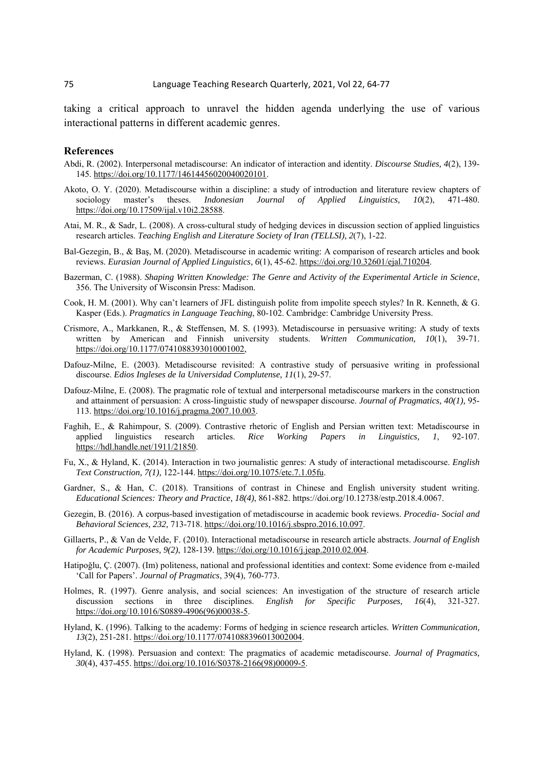taking a critical approach to unravel the hidden agenda underlying the use of various interactional patterns in different academic genres.

#### **References**

- Abdi, R. (2002). Interpersonal metadiscourse: An indicator of interaction and identity. *Discourse Studies, 4*(2), 139- 145. https://doi.org/10.1177/14614456020040020101.
- Akoto, O. Y. (2020). Metadiscourse within a discipline: a study of introduction and literature review chapters of sociology master's theses. *Indonesian Journal of Applied Linguistics, 10*(2), 471-480. https://doi.org/10.17509/ijal.v10i2.28588.
- Atai, M. R., & Sadr, L. (2008). A cross-cultural study of hedging devices in discussion section of applied linguistics research articles. *Teaching English and Literature Society of Iran (TELLSI), 2*(7), 1-22.
- Bal-Gezegin, B., & Baş, M. (2020). Metadiscourse in academic writing: A comparison of research articles and book reviews. *Eurasian Journal of Applied Linguistics, 6*(1), 45-62. https://doi.org/10.32601/ejal.710204.
- Bazerman, C. (1988). *Shaping Written Knowledge: The Genre and Activity of the Experimental Article in Science*, 356. The University of Wisconsin Press: Madison.
- Cook, H. M. (2001). Why can't learners of JFL distinguish polite from impolite speech styles? In R. Kenneth, & G. Kasper (Eds.). *Pragmatics in Language Teaching*, 80-102. Cambridge: Cambridge University Press.
- Crismore, A., Markkanen, R., & Steffensen, M. S. (1993). Metadiscourse in persuasive writing: A study of texts written by American and Finnish university students. *Written Communication, 10*(1), 39-71. https://doi.org/10.1177/0741088393010001002,
- Dafouz-Milne, E. (2003). Metadiscourse revisited: A contrastive study of persuasive writing in professional discourse. *Edios Ingleses de la Universidad Complutense, 11*(1), 29-57.
- Dafouz-Milne, E. (2008). The pragmatic role of textual and interpersonal metadiscourse markers in the construction and attainment of persuasion: A cross-linguistic study of newspaper discourse. *Journal of Pragmatics, 40(1),* 95- 113. https://doi.org/10.1016/j.pragma.2007.10.003.
- Faghih, E., & Rahimpour, S. (2009). Contrastive rhetoric of English and Persian written text: Metadiscourse in applied linguistics research articles. *Rice Working Papers in Linguistics, 1*, 92-107. https://hdl.handle.net/1911/21850.
- Fu, X., & Hyland, K. (2014). Interaction in two journalistic genres: A study of interactional metadiscourse. *English Text Construction, 7(1),* 122-144. https://doi.org/10.1075/etc.7.1.05fu.
- Gardner, S., & Han, C. (2018). Transitions of contrast in Chinese and English university student writing. *Educational Sciences: Theory and Practice, 18(4)*, 861-882. https://doi.org/10.12738/estp.2018.4.0067.
- Gezegin, B. (2016). A corpus-based investigation of metadiscourse in academic book reviews. *Procedia- Social and Behavioral Sciences, 232,* 713-718. https://doi.org/10.1016/j.sbspro.2016.10.097.
- Gillaerts, P., & Van de Velde, F. (2010). Interactional metadiscourse in research article abstracts. *Journal of English for Academic Purposes, 9(2)*, 128-139. https://doi.org/10.1016/j.jeap.2010.02.004.
- Hatipoǧlu, Ç. (2007). (Im) politeness, national and professional identities and context: Some evidence from e-mailed 'Call for Papers'. *Journal of Pragmatics*, 39(4), 760-773.
- Holmes, R. (1997). Genre analysis, and social sciences: An investigation of the structure of research article discussion sections in three disciplines. *English for Specific Purposes, 16*(4), 321-327. https://doi.org/10.1016/S0889-4906(96)00038-5.
- Hyland, K. (1996). Talking to the academy: Forms of hedging in science research articles. *Written Communication, 13*(2), 251-281. https://doi.org/10.1177/0741088396013002004.
- Hyland, K. (1998). Persuasion and context: The pragmatics of academic metadiscourse. *Journal of Pragmatics, 30*(4), 437-455. https://doi.org/10.1016/S0378-2166(98)00009-5.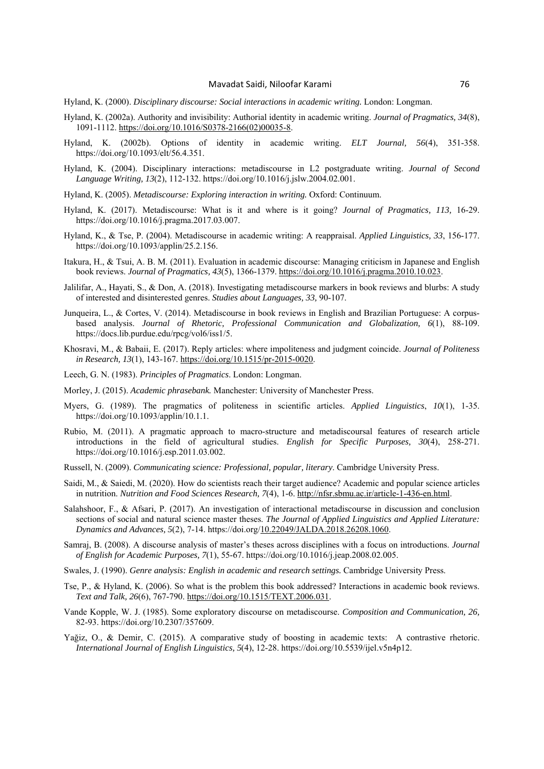- Hyland, K. (2000). *Disciplinary discourse: Social interactions in academic writing.* London: Longman.
- Hyland, K. (2002a). Authority and invisibility: Authorial identity in academic writing. *Journal of Pragmatics, 34*(8), 1091-1112. https://doi.org/10.1016/S0378-2166(02)00035-8.
- Hyland, K. (2002b). Options of identity in academic writing. *ELT Journal, 56*(4), 351-358. https://doi.org/10.1093/elt/56.4.351.
- Hyland, K. (2004). Disciplinary interactions: metadiscourse in L2 postgraduate writing. *Journal of Second Language Writing, 13*(2), 112-132. https://doi.org/10.1016/j.jslw.2004.02.001.
- Hyland, K. (2005). *Metadiscourse: Exploring interaction in writing.* Oxford: Continuum.
- Hyland, K. (2017). Metadiscourse: What is it and where is it going? *Journal of Pragmatics, 113,* 16-29. https://doi.org/10.1016/j.pragma.2017.03.007.
- Hyland, K., & Tse, P. (2004). Metadiscourse in academic writing: A reappraisal. *Applied Linguistics, 33*, 156-177. https://doi.org/10.1093/applin/25.2.156.
- Itakura, H., & Tsui, A. B. M. (2011). Evaluation in academic discourse: Managing criticism in Japanese and English book reviews. *Journal of Pragmatics, 43*(5), 1366-1379. https://doi.org/10.1016/j.pragma.2010.10.023.
- Jalilifar, A., Hayati, S., & Don, A. (2018). Investigating metadiscourse markers in book reviews and blurbs: A study of interested and disinterested genres. *Studies about Languages, 33,* 90-107.
- Junqueira, L., & Cortes, V. (2014). Metadiscourse in book reviews in English and Brazilian Portuguese: A corpusbased analysis. *Journal of Rhetoric, Professional Communication and Globalization, 6*(1), 88-109. https://docs.lib.purdue.edu/rpcg/vol6/iss1/5.
- Khosravi, M., & Babaii, E. (2017). Reply articles: where impoliteness and judgment coincide. *Journal of Politeness in Research, 13*(1), 143-167. https://doi.org/10.1515/pr-2015-0020.
- Leech, G. N. (1983). *Principles of Pragmatics*. London: Longman.
- Morley, J. (2015). *Academic phrasebank.* Manchester: University of Manchester Press.
- Myers, G. (1989). The pragmatics of politeness in scientific articles. *Applied Linguistics*, *10*(1), 1-35. https://doi.org/10.1093/applin/10.1.1.
- Rubio, M. (2011). A pragmatic approach to macro-structure and metadiscoursal features of research article introductions in the field of agricultural studies. *English for Specific Purposes, 30*(4), 258-271. https://doi.org/10.1016/j.esp.2011.03.002.
- Russell, N. (2009). *Communicating science: Professional, popular, literary*. Cambridge University Press.
- Saidi, M., & Saiedi, M. (2020). How do scientists reach their target audience? Academic and popular science articles in nutrition. *Nutrition and Food Sciences Research, 7*(4), 1-6. http://nfsr.sbmu.ac.ir/article-1-436-en.html.
- Salahshoor, F., & Afsari, P. (2017). An investigation of interactional metadiscourse in discussion and conclusion sections of social and natural science master theses. *The Journal of Applied Linguistics and Applied Literature: Dynamics and Advances, 5*(2), 7-14. https://doi.org/10.22049/JALDA.2018.26208.1060.
- Samraj, B. (2008). A discourse analysis of master's theses across disciplines with a focus on introductions. *Journal of English for Academic Purposes, 7*(1), 55-67. https://doi.org/10.1016/j.jeap.2008.02.005.
- Swales, J. (1990). *Genre analysis: English in academic and research settings.* Cambridge University Press.
- Tse, P., & Hyland, K. (2006). So what is the problem this book addressed? Interactions in academic book reviews. *Text and Talk, 26*(6), 767-790. https://doi.org/10.1515/TEXT.2006.031.
- Vande Kopple, W. J. (1985). Some exploratory discourse on metadiscourse. *Composition and Communication, 26,*  82-93. https://doi.org/10.2307/357609.
- Yağiz, O., & Demir, C. (2015). A comparative study of boosting in academic texts: A contrastive rhetoric. *International Journal of English Linguistics, 5*(4), 12-28. https://doi.org/10.5539/ijel.v5n4p12.